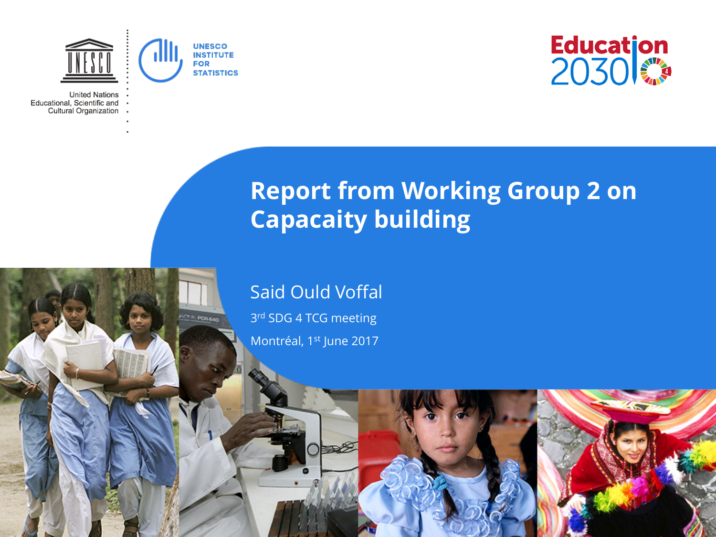

**CAS POR BAD** 

**United Nations** Educational, Scientific and Cultural Organization



### **Report from Working Group 2 on Capacaity building**

Said Ould Voffal

3rd SDG 4 TCG meeting Montréal, 1st June 2017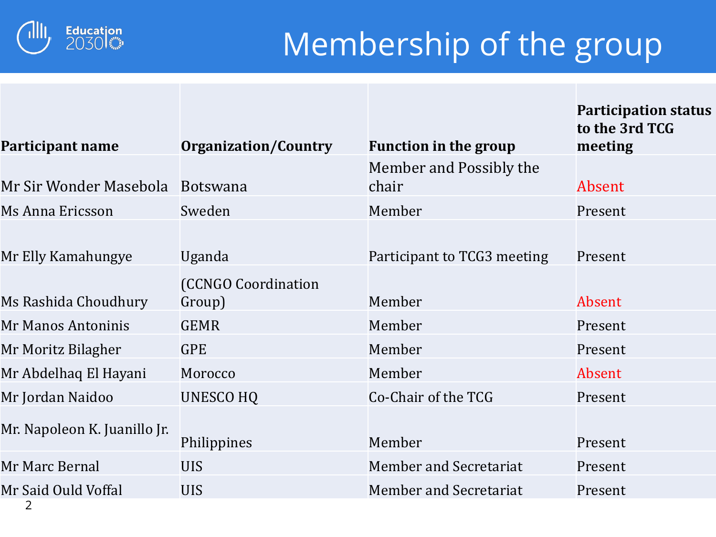

# Membership of the group

**Participation status** 

| Participant name             | <b>Organization/Country</b> | <b>Function in the group</b> | to the 3rd TCG<br>meeting |  |  |
|------------------------------|-----------------------------|------------------------------|---------------------------|--|--|
|                              |                             | Member and Possibly the      |                           |  |  |
| Mr Sir Wonder Masebola       | <b>Botswana</b>             | chair                        | Absent                    |  |  |
| Ms Anna Ericsson             | Sweden                      | Member                       | Present                   |  |  |
|                              |                             |                              |                           |  |  |
| Mr Elly Kamahungye           | Uganda                      | Participant to TCG3 meeting  | Present                   |  |  |
|                              | <b>(CCNGO Coordination</b>  |                              |                           |  |  |
| Ms Rashida Choudhury         | Group)                      | Member                       | Absent                    |  |  |
| Mr Manos Antoninis           | <b>GEMR</b>                 | Member                       | Present                   |  |  |
| Mr Moritz Bilagher           | <b>GPE</b>                  | Member                       | Present                   |  |  |
| Mr Abdelhaq El Hayani        | Morocco                     | Member                       | Absent                    |  |  |
| Mr Jordan Naidoo             | <b>UNESCO HQ</b>            | Co-Chair of the TCG          | Present                   |  |  |
| Mr. Napoleon K. Juanillo Jr. |                             |                              |                           |  |  |
|                              | Philippines                 | Member                       | Present                   |  |  |
| Mr Marc Bernal               | <b>UIS</b>                  | Member and Secretariat       | Present                   |  |  |
| Mr Said Ould Voffal          | <b>UIS</b>                  | Member and Secretariat       | Present                   |  |  |
|                              |                             |                              |                           |  |  |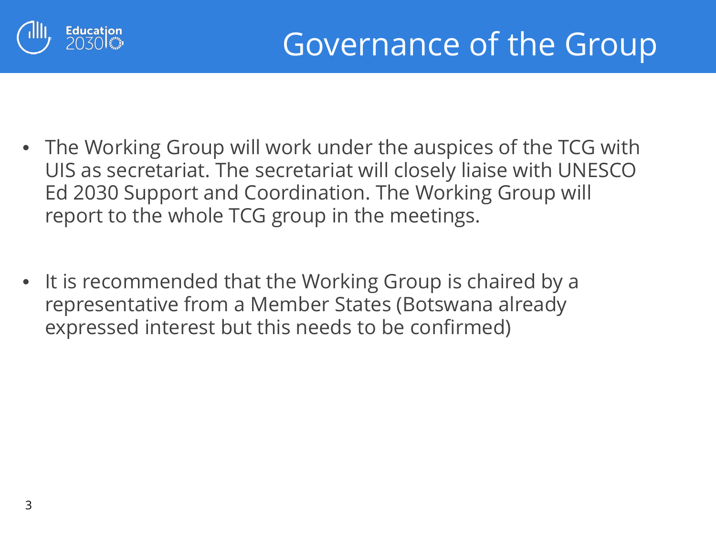

- The Working Group will work under the auspices of the TCG with UIS as secretariat. The secretariat will closely liaise with UNESCO Ed 2030 Support and Coordination. The Working Group will report to the whole TCG group in the meetings.
- It is recommended that the Working Group is chaired by a representative from a Member States (Botswana already expressed interest but this needs to be confirmed)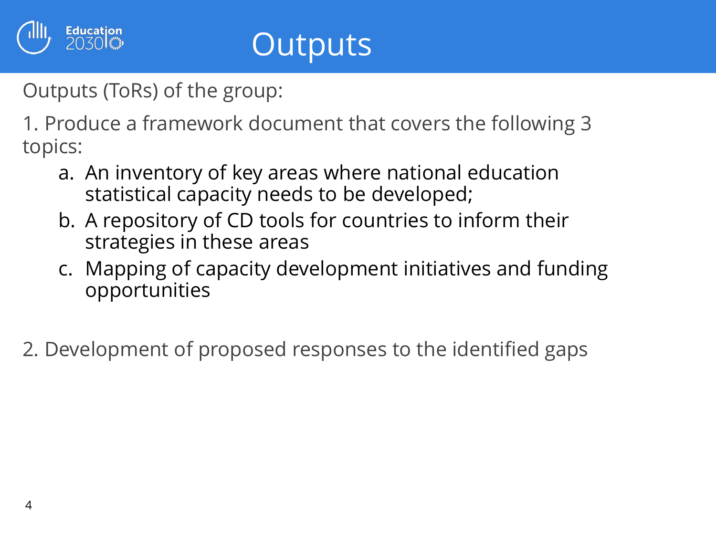

Outputs (ToRs) of the group:

Education<br>2030

1. Produce a framework document that covers the following 3 topics:

- a. An inventory of key areas where national education statistical capacity needs to be developed;
- b. A repository of CD tools for countries to inform their strategies in these areas
- c. Mapping of capacity development initiatives and funding opportunities
- 2. Development of proposed responses to the identified gaps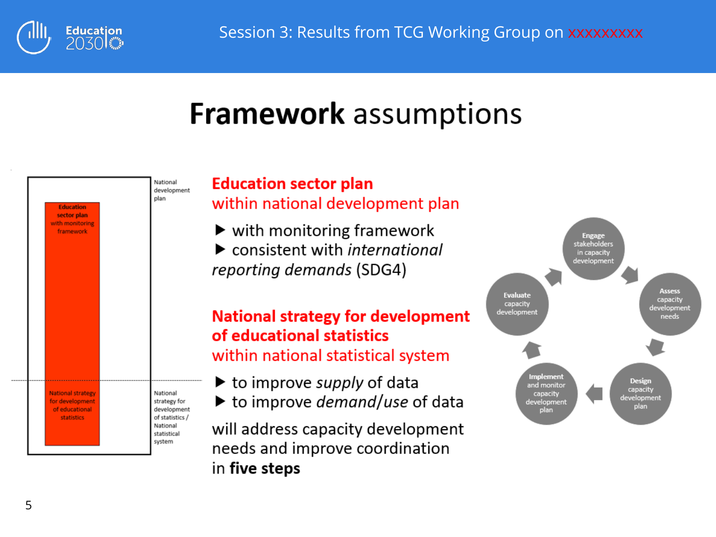

### **Framework** assumptions



# **Education sector plan**<br>within national development plan

 $\blacktriangleright$  with monitoring framework<br> $\blacktriangleright$  consistent with *international* reporting demands (SDG4)

#### **National strategy for development** of educational statistics

within national statistical system

- to improve supply of data
- $\blacktriangleright$  to improve *demand/use* of data

will address capacity development needs and improve coordination in five steps

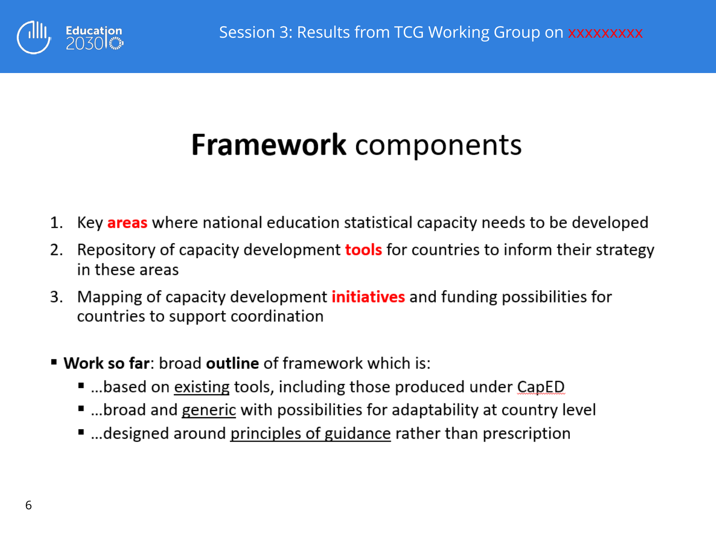

## **Framework** components

- Key areas where national education statistical capacity needs to be developed 1.
- Repository of capacity development **tools** for countries to inform their strategy 2. in these areas
- 3. Mapping of capacity development **initiatives** and funding possibilities for countries to support coordination
- " Work so far: broad outline of framework which is:
	- ...based on existing tools, including those produced under CapED
	- ...broad and generic with possibilities for adaptability at country level
	- ...designed around principles of guidance rather than prescription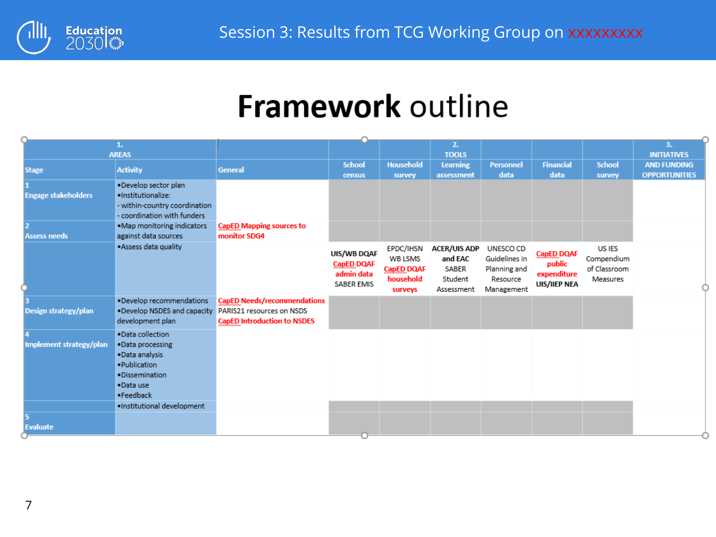

## **Framework outline**

|                            | 1.                            |                                    |                   |                   | 2.                  |                  |                   |               | 3.                   |
|----------------------------|-------------------------------|------------------------------------|-------------------|-------------------|---------------------|------------------|-------------------|---------------|----------------------|
|                            | <b>AREAS</b>                  |                                    |                   |                   | <b>TOOLS</b>        |                  |                   |               | <b>INITIATIVES</b>   |
| <b>Stage</b>               | <b>Activity</b>               | General                            | <b>School</b>     | <b>Household</b>  | <b>Learning</b>     | <b>Personnel</b> | <b>Financial</b>  | <b>School</b> | <b>AND FUNDING</b>   |
|                            |                               |                                    | census            | survey            | assessment          | data             | data              | survey        | <b>OPPORTUNITIES</b> |
|                            | .Develop sector plan          |                                    |                   |                   |                     |                  |                   |               |                      |
| <b>Engage stakeholders</b> | ·Institutionalize:            |                                    |                   |                   |                     |                  |                   |               |                      |
|                            | - within-country coordination |                                    |                   |                   |                     |                  |                   |               |                      |
|                            | - coordination with funders   |                                    |                   |                   |                     |                  |                   |               |                      |
|                            | .Map monitoring indicators    | <b>CapED Mapping sources to</b>    |                   |                   |                     |                  |                   |               |                      |
| <b>Assess needs</b>        | against data sources          | monitor SDG4                       |                   |                   |                     |                  |                   |               |                      |
|                            | . Assess data quality         |                                    | UIS/WB DQAF       | EPDC/IHSN         | <b>ACER/UIS ADP</b> | UNESCO CD        | <b>CapED DQAF</b> | US IES        |                      |
|                            |                               |                                    | <b>CapED DQAF</b> | WB LSMS           | and EAC             | Guidelines in    | public            | Compendium    |                      |
|                            |                               |                                    | admin data        | <b>CapED DQAF</b> | SABER               | Planning and     | expenditure       | of Classroom  |                      |
|                            |                               |                                    | SABER EMIS        | household         | Student             | Resource         | UIS/IIEP NEA      | Measures      |                      |
|                            |                               |                                    |                   | surveys           | Assessment          | Management       |                   |               |                      |
|                            | . Develop recommendations     | <b>CapED Needs/recommendations</b> |                   |                   |                     |                  |                   |               |                      |
| Design strategy/plan       | . Develop NSDES and capacity  | PARIS21 resources on NSDS          |                   |                   |                     |                  |                   |               |                      |
|                            | development plan              | <b>CapED Introduction to NSDES</b> |                   |                   |                     |                  |                   |               |                      |
|                            | .Data collection              |                                    |                   |                   |                     |                  |                   |               |                      |
| Implement strategy/plan    | .Data processing              |                                    |                   |                   |                     |                  |                   |               |                      |
|                            | . Data analysis               |                                    |                   |                   |                     |                  |                   |               |                      |
|                            | ·Publication                  |                                    |                   |                   |                     |                  |                   |               |                      |
|                            | ·Dissemination                |                                    |                   |                   |                     |                  |                   |               |                      |
|                            | .Data use                     |                                    |                   |                   |                     |                  |                   |               |                      |
|                            | ·Feedback                     |                                    |                   |                   |                     |                  |                   |               |                      |
|                            | ·Institutional development    |                                    |                   |                   |                     |                  |                   |               |                      |
|                            |                               |                                    |                   |                   |                     |                  |                   |               |                      |
| <b>Evaluate</b>            |                               |                                    |                   |                   |                     |                  |                   |               |                      |
|                            |                               |                                    |                   |                   |                     |                  |                   |               |                      |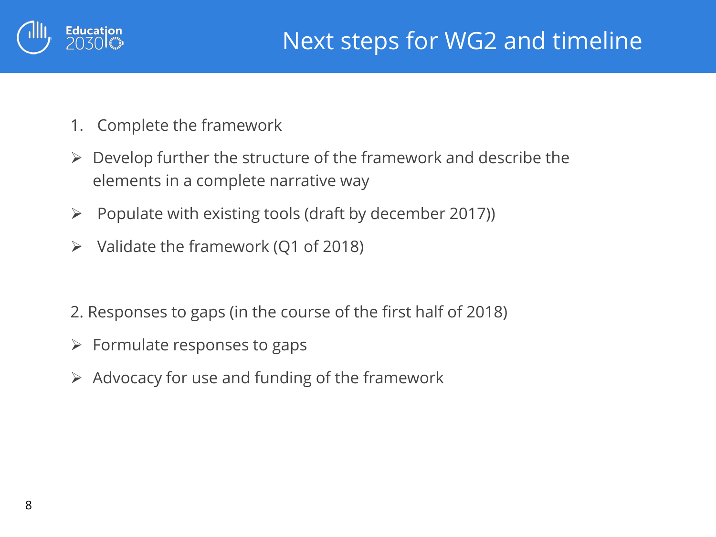

- 1. Complete the framework
- $\triangleright$  Develop further the structure of the framework and describe the elements in a complete narrative way
- $\triangleright$  Populate with existing tools (draft by december 2017))
- $\triangleright$  Validate the framework (Q1 of 2018)
- 2. Responses to gaps (in the course of the first half of 2018)
- $\triangleright$  Formulate responses to gaps
- $\triangleright$  Advocacy for use and funding of the framework